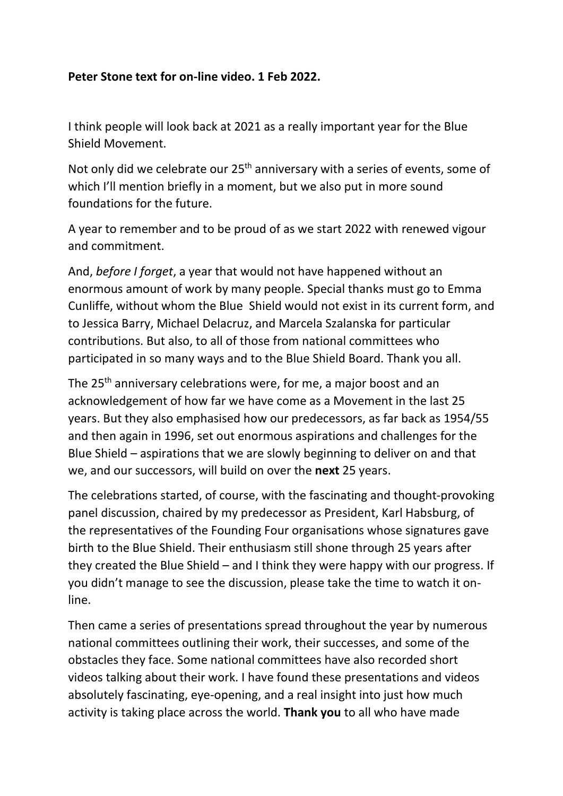## **Peter Stone text for on-line video. 1 Feb 2022.**

I think people will look back at 2021 as a really important year for the Blue Shield Movement.

Not only did we celebrate our 25<sup>th</sup> anniversary with a series of events, some of which I'll mention briefly in a moment, but we also put in more sound foundations for the future.

A year to remember and to be proud of as we start 2022 with renewed vigour and commitment.

And, *before I forget*, a year that would not have happened without an enormous amount of work by many people. Special thanks must go to Emma Cunliffe, without whom the Blue Shield would not exist in its current form, and to Jessica Barry, Michael Delacruz, and Marcela Szalanska for particular contributions. But also, to all of those from national committees who participated in so many ways and to the Blue Shield Board. Thank you all.

The 25<sup>th</sup> anniversary celebrations were, for me, a major boost and an acknowledgement of how far we have come as a Movement in the last 25 years. But they also emphasised how our predecessors, as far back as 1954/55 and then again in 1996, set out enormous aspirations and challenges for the Blue Shield – aspirations that we are slowly beginning to deliver on and that we, and our successors, will build on over the **next** 25 years.

The celebrations started, of course, with the fascinating and thought-provoking panel discussion, chaired by my predecessor as President, Karl Habsburg, of the representatives of the Founding Four organisations whose signatures gave birth to the Blue Shield. Their enthusiasm still shone through 25 years after they created the Blue Shield – and I think they were happy with our progress. If you didn't manage to see the discussion, please take the time to watch it online.

Then came a series of presentations spread throughout the year by numerous national committees outlining their work, their successes, and some of the obstacles they face. Some national committees have also recorded short videos talking about their work. I have found these presentations and videos absolutely fascinating, eye-opening, and a real insight into just how much activity is taking place across the world. **Thank you** to all who have made